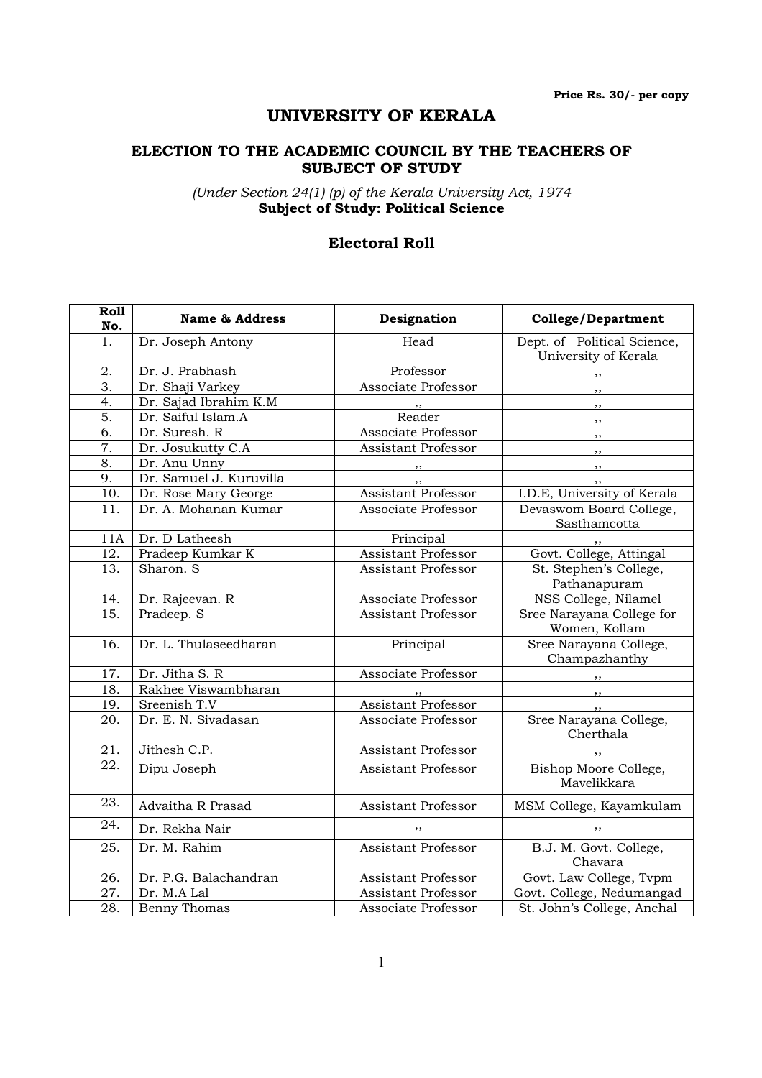Price Rs. 30/- per copy

# UNIVERSITY OF KERALA

### ELECTION TO THE ACADEMIC COUNCIL BY THE TEACHERS OF SUBJECT OF STUDY

(Under Section 24(1) (p) of the Kerala University Act, 1974 Subject of Study: Political Science

### Electoral Roll

| Roll<br>No.      | <b>Name &amp; Address</b> | Designation                | <b>College/Department</b>                           |
|------------------|---------------------------|----------------------------|-----------------------------------------------------|
| 1.               | Dr. Joseph Antony         | Head                       | Dept. of Political Science,<br>University of Kerala |
| 2.               | Dr. J. Prabhash           | Professor                  |                                                     |
| $\overline{3}$ . | Dr. Shaji Varkey          | Associate Professor        | ,,                                                  |
| $\overline{4}$ . | Dr. Sajad Ibrahim K.M     |                            | , ,                                                 |
| 5.               | Dr. Saiful Islam.A        | Reader                     | $, \,$                                              |
| $\overline{6}$ . | Dr. Suresh. R             | Associate Professor        | ,,                                                  |
| 7.               | Dr. Josukutty C.A         | <b>Assistant Professor</b> | ,,                                                  |
| 8.               | Dr. Anu Unny              | $, \,$                     | , ,                                                 |
| 9.               | Dr. Samuel J. Kuruvilla   | ,,                         |                                                     |
| 10.              | Dr. Rose Mary George      | <b>Assistant Professor</b> | I.D.E, University of Kerala                         |
| 11.              | Dr. A. Mohanan Kumar      | Associate Professor        | Devaswom Board College,<br>Sasthamcotta             |
| 11A              | Dr. D Latheesh            | Principal                  |                                                     |
| 12.              | Pradeep Kumkar K          | <b>Assistant Professor</b> | Govt. College, Attingal                             |
| 13.              | Sharon. S                 | <b>Assistant Professor</b> | St. Stephen's College,<br>Pathanapuram              |
| 14.              | Dr. Rajeevan. R           | Associate Professor        | NSS College, Nilamel                                |
| 15.              | Pradeep. S                | <b>Assistant Professor</b> | Sree Narayana College for<br>Women, Kollam          |
| 16.              | Dr. L. Thulaseedharan     | Principal                  | Sree Narayana College,<br>Champazhanthy             |
| 17.              | Dr. Jitha S. R            | Associate Professor        |                                                     |
| 18.              | Rakhee Viswambharan       |                            | , ,                                                 |
| 19.              | Sreenish T.V              | <b>Assistant Professor</b> | , ,                                                 |
| 20.              | Dr. E. N. Sivadasan       | <b>Associate Professor</b> | Sree Narayana College,<br>Cherthala                 |
| 21.              | Jithesh C.P.              | Assistant Professor        |                                                     |
| 22.              | Dipu Joseph               | <b>Assistant Professor</b> | Bishop Moore College,<br>Mavelikkara                |
| 23.              | Advaitha R Prasad         | <b>Assistant Professor</b> | MSM College, Kayamkulam                             |
| 24.              | Dr. Rekha Nair            |                            | ,,                                                  |
| 25.              | Dr. M. Rahim              | <b>Assistant Professor</b> | B.J. M. Govt. College,<br>Chavara                   |
| 26.              | Dr. P.G. Balachandran     | Assistant Professor        | Govt. Law College, Tvpm                             |
| 27.              | Dr. M.A Lal               | <b>Assistant Professor</b> | Govt. College, Nedumangad                           |
| 28.              | <b>Benny Thomas</b>       | Associate Professor        | St. John's College, Anchal                          |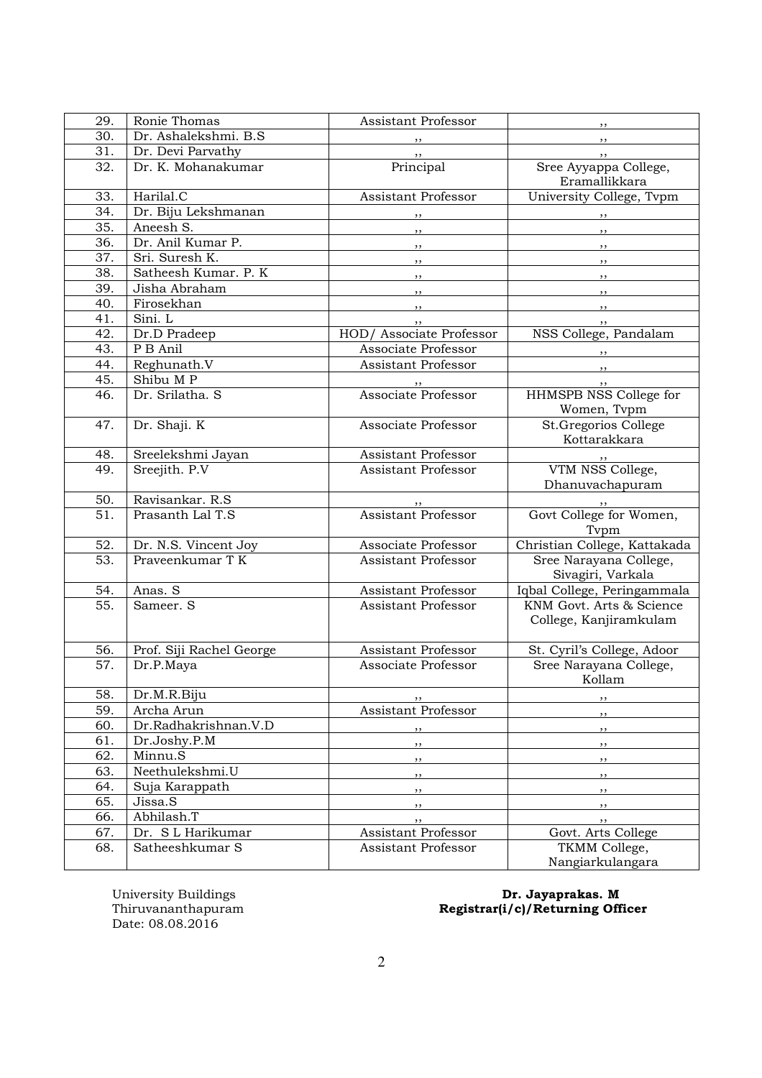| 29.        | Ronie Thomas                          | <b>Assistant Professor</b> | , ,                                                  |
|------------|---------------------------------------|----------------------------|------------------------------------------------------|
| 30.        | Dr. Ashalekshmi. B.S.                 | $, \, \,$                  | $, \,$                                               |
| 31.        | Dr. Devi Parvathy                     | , ,                        | , ,                                                  |
| 32.        | Dr. K. Mohanakumar                    | Principal                  | Sree Ayyappa College,                                |
|            |                                       |                            | Eramallikkara                                        |
| 33.        | Harilal.C                             | Assistant Professor        | University College, Tvpm                             |
| 34.        | Dr. Biju Lekshmanan                   | , ,                        | , ,                                                  |
| 35.        | Aneesh S.                             | , ,                        | , ,                                                  |
| 36.        | Dr. Anil Kumar P.                     | $, \, \, \cdot$            | $, \, \,$                                            |
| 37.        | Sri. Suresh K.                        | $, \, \, \cdot$            | $, \, \,$                                            |
| 38.        | Satheesh Kumar. P. K                  |                            | ,,                                                   |
| 39.        | Jisha Abraham                         | $, \, \, \cdot$            | , ,                                                  |
| 40.        | Firosekhan                            | $, \, , \,$                | , ,                                                  |
| 41.        | Sini. L                               |                            | , ,                                                  |
| 42.        | Dr.D Pradeep                          | HOD/ Associate Professor   | NSS College, Pandalam                                |
| 43.        | P B Anil                              | Associate Professor        | $\overline{\phantom{a}}$ , $\overline{\phantom{a}}$  |
| 44.        | Reghunath.V                           | <b>Assistant Professor</b> | $\overline{\phantom{a}}$                             |
| 45.        | Shibu MP                              |                            | , ,                                                  |
| 46.        | Dr. Srilatha. S                       | Associate Professor        | HHMSPB NSS College for                               |
|            |                                       |                            | Women, Tvpm                                          |
| 47.        | Dr. Shaji. K                          | Associate Professor        | St.Gregorios College                                 |
|            |                                       |                            | Kottarakkara                                         |
| 48.        | Sreelekshmi Jayan                     | Assistant Professor        |                                                      |
| 49.        | Sreejith. P.V                         | Assistant Professor        | VTM NSS College,                                     |
|            |                                       |                            | Dhanuvachapuram                                      |
| 50.        | Ravisankar. R.S                       |                            |                                                      |
| 51.        | Prasanth Lal T.S                      | Assistant Professor        | Govt College for Women,                              |
|            |                                       |                            | Typm                                                 |
| 52.        | Dr. N.S. Vincent Joy                  | Associate Professor        | Christian College, Kattakada                         |
| 53.        | Praveenkumar T K                      | Assistant Professor        | Sree Narayana College,                               |
|            |                                       |                            | Sivagiri, Varkala                                    |
| 54.        | Anas. S                               | Assistant Professor        | Iqbal College, Peringammala                          |
| 55.        | Sameer. S                             | Assistant Professor        | KNM Govt. Arts & Science                             |
|            |                                       |                            | College, Kanjiramkulam                               |
|            |                                       | <b>Assistant Professor</b> |                                                      |
| 56.<br>57. | Prof. Siji Rachel George<br>Dr.P.Maya | Associate Professor        | St. Cyril's College, Adoor<br>Sree Narayana College, |
|            |                                       |                            | Kollam                                               |
| 58.        | Dr.M.R.Biju                           |                            |                                                      |
| 59.        | Archa Arun                            | , ,<br>Assistant Professor | ,,                                                   |
| 60.        | Dr.Radhakrishnan.V.D                  |                            | ,,                                                   |
| 61.        | Dr.Joshy.P.M                          | $, \,$                     | $, \,$                                               |
| 62.        | Minnu.S                               | ,,                         | , ,                                                  |
| 63.        | Neethulekshmi.U                       | $, \,$                     | , ,                                                  |
| 64.        | Suja Karappath                        | $, \, , \,$                | , ,                                                  |
| 65.        | Jissa.S                               | $, \,$                     | , ,                                                  |
| 66.        | Abhilash.T                            | $, \,$                     | , ,                                                  |
| 67.        | Dr. S L Harikumar                     | ,,<br>Assistant Professor  | $, \,$<br>Govt. Arts College                         |
| 68.        | Satheeshkumar S                       | Assistant Professor        | TKMM College,                                        |
|            |                                       |                            | Nangiarkulangara                                     |

University Buildings<br>Thiruvananthapuram<br>Date: 08.08.2016

#### University Buildings **Dr. Jayaprakas. M** Thiruvananthapuram Registrar(i/c)/Returning Officer